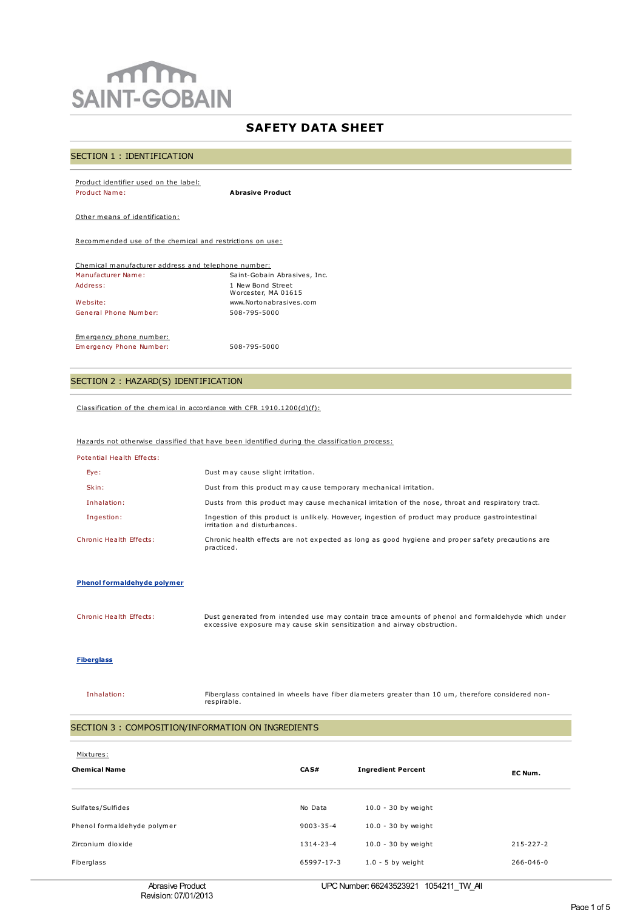# $m$ **SAINT-GOBAIN**

# **SAFETY DATA SHEET**

# SECTION 1 : IDENTIFICATION

| Product identifier used on the label:                    |                              |  |  |  |
|----------------------------------------------------------|------------------------------|--|--|--|
| Product Name:                                            | <b>Abrasive Product</b>      |  |  |  |
|                                                          |                              |  |  |  |
| Other means of identification:                           |                              |  |  |  |
|                                                          |                              |  |  |  |
| Recommended use of the chemical and restrictions on use: |                              |  |  |  |
|                                                          |                              |  |  |  |
|                                                          |                              |  |  |  |
| Chemical manufacturer address and telephone number:      |                              |  |  |  |
| Manufacturer Name:                                       | Saint-Gobain Abrasives, Inc. |  |  |  |
| address:                                                 | 1 New Bond Street            |  |  |  |
|                                                          | Worcester, MA 01615          |  |  |  |
| Website:                                                 | www.Nortonabrasives.com      |  |  |  |
| General Phone Number:                                    | 508-795-5000                 |  |  |  |

Emergency phone number:

Emergency Phone Number: 508-795-5000

# SECTION 2 : HAZARD(S) IDENTIFICATION

Classification of the chemical in accordance with CFR 1910.1200(d)(f):

# Hazards not otherwise classified that have been identified during the classification process:

| Potential Health Effects: |                                                                                                                                   |
|---------------------------|-----------------------------------------------------------------------------------------------------------------------------------|
| Eye:                      | Dust may cause slight irritation.                                                                                                 |
| Skin:                     | Dust from this product may cause temporary mechanical irritation.                                                                 |
| Inhalation:               | Dusts from this product may cause mechanical irritation of the nose, throat and respiratory tract.                                |
| Ingestion:                | Ingestion of this product is unlikely. However, ingestion of product may produce gastrointestinal<br>irritation and disturbances. |
| Chronic Health Effects:   | Chronic health effects are not expected as long as good hygiene and proper safety precautions are<br>practiced.                   |

#### **Phenol formaldehyde polymer**

Chronic Health Effects: Dust generated from intended use may contain trace amounts of phenol and formaldehyde which under excessive exposure may cause skin sensitization and airway obstruction.

#### **Fiberglass**

Inhalation: Fiberglass contained in wheels have fiber diameters greater than 10 um, therefore considered nonrespirable.

# SECTION 3 : COMPOSITION/INFORMATION ON INGREDIENTS

| Mixtures:<br><b>Chemical Name</b>                | CAS#                       | <b>Ingredient Percent</b>                      | EC Num.         |
|--------------------------------------------------|----------------------------|------------------------------------------------|-----------------|
| Sulfates/Sulfides<br>Phenol formaldehyde polymer | No Data<br>$9003 - 35 - 4$ | $10.0 - 30$ by weight<br>$10.0 - 30$ by weight |                 |
| Zirconium dioxide                                | 1314-23-4                  | $10.0 - 30$ by weight                          | $215 - 227 - 2$ |
| Fiberglass                                       | 65997-17-3                 | $1.0 - 5$ by weight                            | $266 - 046 - 0$ |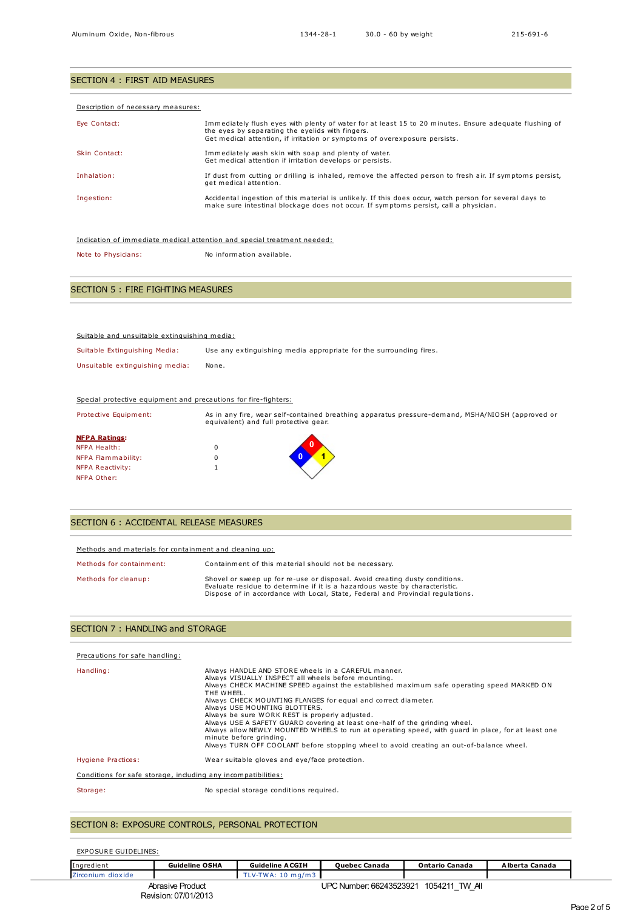| SECTION 4 : FIRST AID MEASURES     |                                                                                                                                                                                                                                          |  |  |
|------------------------------------|------------------------------------------------------------------------------------------------------------------------------------------------------------------------------------------------------------------------------------------|--|--|
|                                    |                                                                                                                                                                                                                                          |  |  |
| Description of necessary measures: |                                                                                                                                                                                                                                          |  |  |
| Eve Contact:                       | Immediately flush eyes with plenty of water for at least 15 to 20 minutes. Ensure adequate flushing of<br>the eyes by separating the eyelids with fingers.<br>Get medical attention, if irritation or symptoms of overexposure persists. |  |  |
| Skin Contact:                      | Immediately wash skin with soap and plenty of water.<br>Get medical attention if irritation develops or persists.                                                                                                                        |  |  |
| Inhalation:                        | If dust from cutting or drilling is inhaled, remove the affected person to fresh air. If symptoms persist,<br>get medical attention.                                                                                                     |  |  |
| Ingestion:                         | Accidental ingestion of this material is unlikely. If this does occur, watch person for several days to<br>make sure intestinal blockage does not occur. If symptoms persist, call a physician.                                          |  |  |

Indication of immediate medical attention and special treatment needed:

Note to Physicians: No information available.

# SECTION 5 : FIRE FIGHTING MEASURES

| Suitable and unsuitable extinguishing media: |                                                                    |
|----------------------------------------------|--------------------------------------------------------------------|
| Suitable Extinguishing Media:                | Use any extinguishing media appropriate for the surrounding fires. |
| Unsuitable extinguishing media:              | None.                                                              |

#### Special protective equipment and precautions for fire-fighters:

| Protective Equipment: | equivalent) and full protective gear. | As in any fire, wear self-contained breathing apparatus pressure-demand, MSHA/NIOSH (approved or |
|-----------------------|---------------------------------------|--------------------------------------------------------------------------------------------------|
| <b>NFPA Ratings:</b>  |                                       |                                                                                                  |
| <b>NFPA Health:</b>   |                                       |                                                                                                  |
| NFPA Flammability:    |                                       |                                                                                                  |
| NFPA Reactivity:      |                                       |                                                                                                  |
| NFPA Other:           |                                       |                                                                                                  |

### SECTION 6 : ACCIDENTAL RELEASE MEASURES

| Methods and materials for containment and cleaning up: |                                                                                                                                                                                                                                               |  |  |  |
|--------------------------------------------------------|-----------------------------------------------------------------------------------------------------------------------------------------------------------------------------------------------------------------------------------------------|--|--|--|
| Methods for containment:                               | Containment of this material should not be necessary.                                                                                                                                                                                         |  |  |  |
| Methods for cleanup:                                   | Shovel or sweep up for re-use or disposal. Avoid creating dusty conditions.<br>Evaluate residue to determine if it is a hazardous waste by characteristic.<br>Dispose of in accordance with Local, State, Federal and Provincial regulations. |  |  |  |

# SECTION 7 : HANDLING and STORAGE

| Precautions for safe handling:                                |                                                                                                                                                                                                                                                                                                                                                                                                                                                                                                                                                                                                                                                                                       |
|---------------------------------------------------------------|---------------------------------------------------------------------------------------------------------------------------------------------------------------------------------------------------------------------------------------------------------------------------------------------------------------------------------------------------------------------------------------------------------------------------------------------------------------------------------------------------------------------------------------------------------------------------------------------------------------------------------------------------------------------------------------|
| Handling:                                                     | Always HANDLE AND STORE wheels in a CAREFUL manner.<br>Always VISUALLY INSPECT all wheels before mounting.<br>Always CHECK MACHINE SPEED against the established maximum safe operating speed MARKED ON<br>THE WHEEL.<br>Always CHECK MOUNTING FLANGES for equal and correct diameter.<br>Always USE MOUNTING BLOTTERS.<br>Always be sure WORK REST is properly adjusted.<br>Always USE A SAFETY GUARD covering at least one-half of the grinding wheel.<br>Always allow NEWLY MOUNTED WHEELS to run at operating speed, with quard in place, for at least one<br>minute before grinding.<br>Always TURN OFF COOLANT before stopping wheel to avoid creating an out-of-balance wheel. |
| Hygiene Practices:                                            | Wear suitable gloves and eye/face protection.                                                                                                                                                                                                                                                                                                                                                                                                                                                                                                                                                                                                                                         |
| Conditions for safe storage, including any incompatibilities: |                                                                                                                                                                                                                                                                                                                                                                                                                                                                                                                                                                                                                                                                                       |
| Storage:                                                      | No special storage conditions required.                                                                                                                                                                                                                                                                                                                                                                                                                                                                                                                                                                                                                                               |

# SECTION 8: EXPOSURE CONTROLS, PERSONAL PROTECTION

EXPOSURE GUIDELINES:

| Ingredient        | <b>Guideline OSHA</b>                    | <b>Guideline ACGIH</b> | <b>Ouebec Canada</b>                   | <b>Ontario Canada</b> | Alberta Canada |
|-------------------|------------------------------------------|------------------------|----------------------------------------|-----------------------|----------------|
| Zirconium dioxide |                                          | TLV-TWA: 10 mg/m3      |                                        |                       |                |
|                   | Abrasive Product<br>Revision: 07/01/2013 |                        | UPC Number: 66243523921 1054211 TW All |                       |                |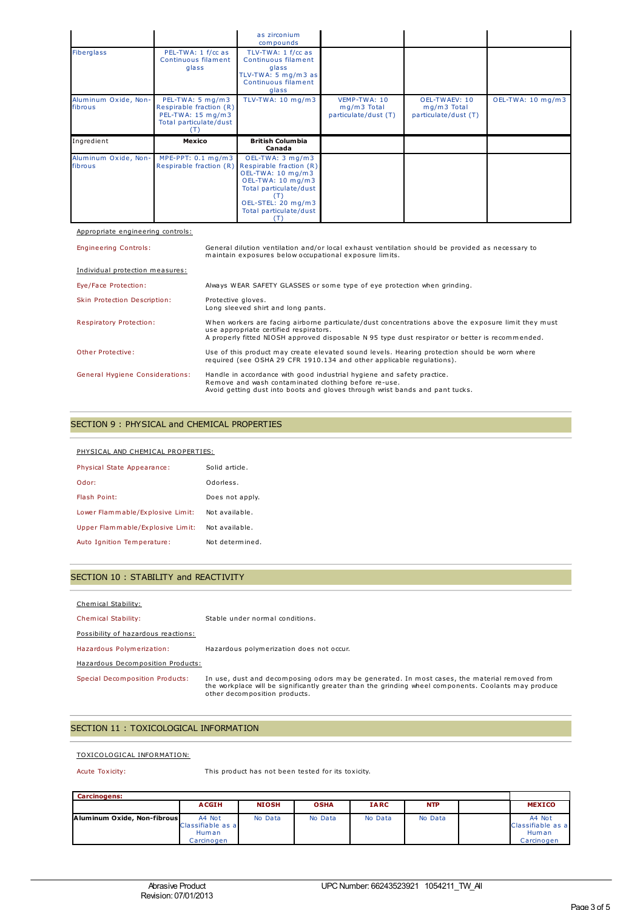|                                 |                                                                                            | as zirconium<br>compounds                                                                                 |                                                     |                                                        |                   |
|---------------------------------|--------------------------------------------------------------------------------------------|-----------------------------------------------------------------------------------------------------------|-----------------------------------------------------|--------------------------------------------------------|-------------------|
| Fiberglass                      | PEL-TWA: 1 f/cc as<br>Continuous filament<br>glass                                         | TLV-TWA: 1 f/cc as<br>Continuous filament<br>glass<br>TLV-TWA: 5 mg/m3 as<br>Continuous filament<br>glass |                                                     |                                                        |                   |
| Aluminum Oxide, Non-<br>fibrous | PEL-TWA: 5 mg/m3<br>Respirable fraction (R)<br>PEL-TWA: 15 mg/m3<br>Total particulate/dust | TLV-TWA: $10 \text{ mg/m}$ 3                                                                              | VEMP-TWA: 10<br>mg/m3 Total<br>particulate/dust (T) | OEL-TWAEV: 10<br>$mq/m3$ Total<br>particulate/dust (T) | OEL-TWA: 10 mg/m3 |
|                                 |                                                                                            |                                                                                                           |                                                     |                                                        |                   |
| Ingredient                      | Mexico                                                                                     | <b>British Columbia</b><br>Canada                                                                         |                                                     |                                                        |                   |

#### Appropriate engineering controls:

Engineering Controls: General dilution ventilation and/or local exhaust ventilation should be provided as necessary to maintain exposures below occupational exposure limits.

| Individual protection measures:        |                                                                                                                                                                                                                                                  |
|----------------------------------------|--------------------------------------------------------------------------------------------------------------------------------------------------------------------------------------------------------------------------------------------------|
| Eye/Face Protection:                   | Always WEAR SAFETY GLASSES or some type of eye protection when grinding.                                                                                                                                                                         |
| Skin Protection Description:           | Protective aloves.<br>Long sleeved shirt and long pants.                                                                                                                                                                                         |
| Respiratory Protection:                | When workers are facing airborne particulate/dust concentrations above the exposure limit they must<br>use appropriate certified respirators.<br>A properly fitted NIOSH approved disposable N 95 type dust respirator or better is recommended. |
| Other Protective:                      | Use of this product may create elevated sound levels. Hearing protection should be worn where<br>required (see OSHA 29 CFR 1910.134 and other applicable requlations).                                                                           |
| <b>General Hygiene Considerations:</b> | Handle in accordance with good industrial hygiene and safety practice.<br>Remove and wash contaminated clothing before re-use.<br>Avoid getting dust into boots and gloves through wrist bands and pant tucks.                                   |

#### SECTION 9 : PHYSICAL and CHEMICAL PROPERTIES

#### PHYSICAL AND CHEMICAL PROPERTIES:

| Physical State Appearance:       | Solid article.  |
|----------------------------------|-----------------|
| Odor:                            | Odorless.       |
| Flash Point:                     | Does not apply. |
| Lower Flammable/Explosive Limit: | Not available.  |
| Upper Flammable/Explosive Limit: | Not available.  |
| Auto Ignition Temperature:       | Not determined. |

### SECTION 10 : STABILITY and REACTIVITY

#### Chemical Stability:

Chemical Stability: Stable under normal conditions.

#### Possibility of hazardous reactions:

Hazardous Polymerization: Hazardous polymerization does not occur.

Hazardous Decomposition Products:

Special Decomposition Products: In use, dust and decomposing odors may be generated. In most cases, the material removed from<br>the workplace will be significantly greater than the grinding wheel components. Coolants m

# SECTION 11 : TOXICOLOGICAL INFORMATION

#### TOXICOLOGICAL INFORMATION:

Acute Toxicity: This product has not been tested for its toxicity.

| <b>Carcinogens:</b>         |                                                           |              |             |             |            |                                                    |
|-----------------------------|-----------------------------------------------------------|--------------|-------------|-------------|------------|----------------------------------------------------|
|                             | <b>ACGIH</b>                                              | <b>NIOSH</b> | <b>OSHA</b> | <b>IARC</b> | <b>NTP</b> | <b>MEXICO</b>                                      |
| Aluminum Oxide, Non-fibrous | A4 Not<br>Classifiable as a<br><b>Human</b><br>Carcinogen | No Data      | No Data     | No Data     | No Data    | A4 Not<br>Classifiable as a<br>Human<br>Carcinogen |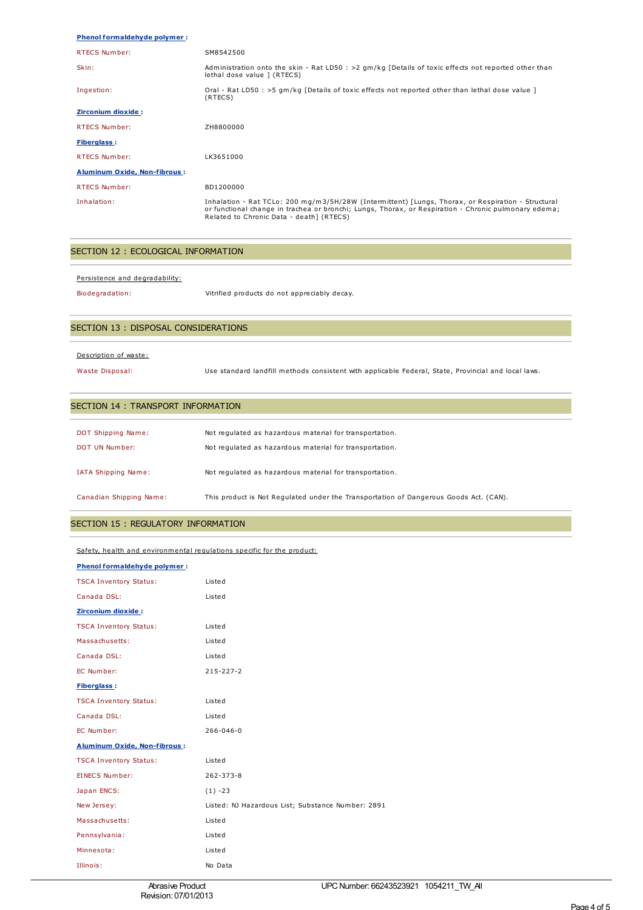### **Phenol formaldehyde polymer :**

| <b>RTECS Number:</b>                | SM8542500                                                                                                                                                                                                                                              |
|-------------------------------------|--------------------------------------------------------------------------------------------------------------------------------------------------------------------------------------------------------------------------------------------------------|
| Skin:                               | Administration onto the skin - Rat LD50 : $>2$ qm/kg [Details of toxic effects not reported other than<br>lethal dose value ] (RTECS)                                                                                                                  |
| Ingestion:                          | Oral - Rat LD50 : >5 qm/kg [Details of toxic effects not reported other than lethal dose value ]<br>(RTECS)                                                                                                                                            |
| Zirconium dioxide :                 |                                                                                                                                                                                                                                                        |
| <b>RTECS Number:</b>                | ZH8800000                                                                                                                                                                                                                                              |
| <b>Fiberglass:</b>                  |                                                                                                                                                                                                                                                        |
| <b>RTECS Number:</b>                | LK3651000                                                                                                                                                                                                                                              |
| <b>Aluminum Oxide, Non-fibrous:</b> |                                                                                                                                                                                                                                                        |
| <b>RTECS Number:</b>                | BD1200000                                                                                                                                                                                                                                              |
| Inhalation:                         | Inhalation - Rat TCLo: 200 mg/m3/5H/28W (Intermittent) [Lungs, Thorax, or Respiration - Structural<br>or functional change in trachea or bronchi; Lungs, Thorax, or Respiration - Chronic pulmonary edema;<br>Related to Chronic Data - death] (RTECS) |

# SECTION 12 : ECOLOGICAL INFORMATION

Persistence and degradability:

Biodegradation: Vitrified products do not appreciably decay.

# SECTION 13 : DISPOSAL CONSIDERATIONS

#### Description of waste:

Waste Disposal: Use standard landfill methods consistent with applicable Federal, State, Provincial and local laws.

### SECTION 14 : TRANSPORT INFORMATION

| DOT Shipping Name:<br>DOT UN Number: | Not regulated as hazardous material for transportation.<br>Not regulated as hazardous material for transportation. |
|--------------------------------------|--------------------------------------------------------------------------------------------------------------------|
| IATA Shipping Name:                  | Not regulated as hazardous material for transportation.                                                            |
| Canadian Shipping Name:              | This product is Not Regulated under the Transportation of Dangerous Goods Act. (CAN).                              |

# SECTION 15 : REGULATORY INFORMATION

# Safety, health and environmental regulations specific for the product:

| <b>Phenol formaldehyde polymer:</b> |                                         |  |  |
|-------------------------------------|-----------------------------------------|--|--|
| $TCAI$ Invantant $C++++$            | $i$ <sub>c</sub> $+$ <sub>c</sub> $-$ d |  |  |

| <b>TSCA Inventory Status:</b>       | Listed                                            |
|-------------------------------------|---------------------------------------------------|
| Canada DSL:                         | Listed                                            |
| Zirconium dioxide:                  |                                                   |
| <b>TSCA Inventory Status:</b>       | Listed                                            |
| Massachusetts:                      | Listed                                            |
| Canada DSL:                         | Listed                                            |
| EC Number:                          | $215 - 227 - 2$                                   |
| <b>Fiberglass:</b>                  |                                                   |
| <b>TSCA Inventory Status:</b>       | Listed                                            |
| Canada DSL:                         | Listed                                            |
| EC Number:                          | $266 - 046 - 0$                                   |
| <b>Aluminum Oxide, Non-fibrous:</b> |                                                   |
| <b>TSCA Inventory Status:</b>       | Listed                                            |
| <b>EINECS Number:</b>               | $262 - 373 - 8$                                   |
| Japan ENCS:                         | $(1) -23$                                         |
| New Jersey:                         | Listed: NJ Hazardous List; Substance Number: 2891 |
| Massachusetts:                      | Listed                                            |
| Pennsylvania:                       | Listed                                            |
| Minnesota:                          | Listed                                            |
| Illinois:                           | No Data                                           |
|                                     |                                                   |